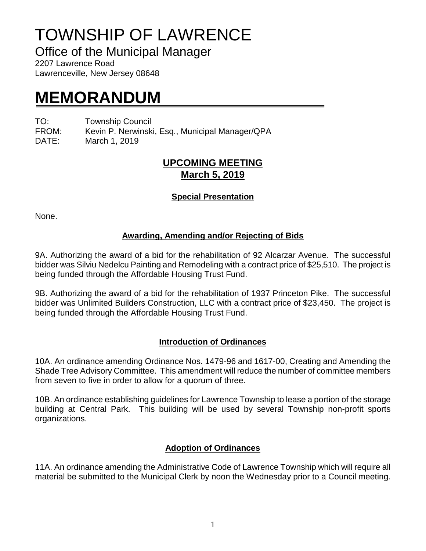# TOWNSHIP OF LAWRENCE

Office of the Municipal Manager

2207 Lawrence Road Lawrenceville, New Jersey 08648

## **MEMORANDUM**

TO: Township Council

FROM: Kevin P. Nerwinski, Esq., Municipal Manager/QPA

DATE: March 1, 2019

### **UPCOMING MEETING March 5, 2019**

#### **Special Presentation**

None.

#### **Awarding, Amending and/or Rejecting of Bids**

9A. Authorizing the award of a bid for the rehabilitation of 92 Alcarzar Avenue. The successful bidder was Silviu Nedelcu Painting and Remodeling with a contract price of \$25,510. The project is being funded through the Affordable Housing Trust Fund.

9B. Authorizing the award of a bid for the rehabilitation of 1937 Princeton Pike. The successful bidder was Unlimited Builders Construction, LLC with a contract price of \$23,450. The project is being funded through the Affordable Housing Trust Fund.

#### **Introduction of Ordinances**

10A. An ordinance amending Ordinance Nos. 1479-96 and 1617-00, Creating and Amending the Shade Tree Advisory Committee. This amendment will reduce the number of committee members from seven to five in order to allow for a quorum of three.

10B. An ordinance establishing guidelines for Lawrence Township to lease a portion of the storage building at Central Park. This building will be used by several Township non-profit sports organizations.

#### **Adoption of Ordinances**

11A. An ordinance amending the Administrative Code of Lawrence Township which will require all material be submitted to the Municipal Clerk by noon the Wednesday prior to a Council meeting.